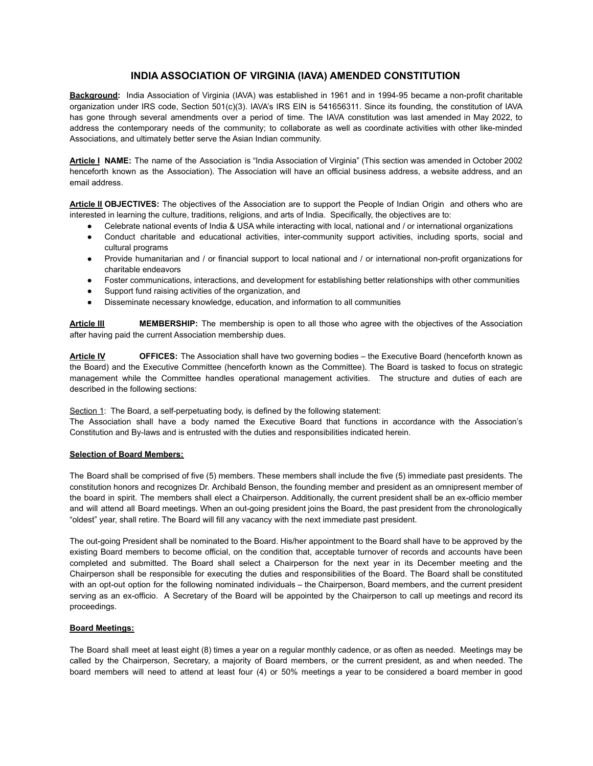# **INDIA ASSOCIATION OF VIRGINIA (IAVA) AMENDED CONSTITUTION**

**Background:** India Association of Virginia (IAVA) was established in 1961 and in 1994-95 became a non-profit charitable organization under IRS code, Section 501(c)(3). IAVA's IRS EIN is 541656311. Since its founding, the constitution of IAVA has gone through several amendments over a period of time. The IAVA constitution was last amended in May 2022, to address the contemporary needs of the community; to collaborate as well as coordinate activities with other like-minded Associations, and ultimately better serve the Asian Indian community.

**Article I NAME:** The name of the Association is "India Association of Virginia" (This section was amended in October 2002 henceforth known as the Association). The Association will have an official business address, a website address, and an email address.

**Article II OBJECTIVES:** The objectives of the Association are to support the People of Indian Origin and others who are interested in learning the culture, traditions, religions, and arts of India. Specifically, the objectives are to:

- Celebrate national events of India & USA while interacting with local, national and / or international organizations
- Conduct charitable and educational activities, inter-community support activities, including sports, social and cultural programs
- Provide humanitarian and / or financial support to local national and / or international non-profit organizations for charitable endeavors
- Foster communications, interactions, and development for establishing better relationships with other communities
- Support fund raising activities of the organization, and
- Disseminate necessary knowledge, education, and information to all communities

**Article III MEMBERSHIP:** The membership is open to all those who agree with the objectives of the Association after having paid the current Association membership dues.

**Article IV OFFICES:** The Association shall have two governing bodies – the Executive Board (henceforth known as the Board) and the Executive Committee (henceforth known as the Committee). The Board is tasked to focus on strategic management while the Committee handles operational management activities. The structure and duties of each are described in the following sections:

Section 1: The Board, a self-perpetuating body, is defined by the following statement:

The Association shall have a body named the Executive Board that functions in accordance with the Association's Constitution and By-laws and is entrusted with the duties and responsibilities indicated herein.

#### **Selection of Board Members:**

The Board shall be comprised of five (5) members. These members shall include the five (5) immediate past presidents. The constitution honors and recognizes Dr. Archibald Benson, the founding member and president as an omnipresent member of the board in spirit. The members shall elect a Chairperson. Additionally, the current president shall be an ex-officio member and will attend all Board meetings. When an out-going president joins the Board, the past president from the chronologically "oldest" year, shall retire. The Board will fill any vacancy with the next immediate past president.

The out-going President shall be nominated to the Board. His/her appointment to the Board shall have to be approved by the existing Board members to become official, on the condition that, acceptable turnover of records and accounts have been completed and submitted. The Board shall select a Chairperson for the next year in its December meeting and the Chairperson shall be responsible for executing the duties and responsibilities of the Board. The Board shall be constituted with an opt-out option for the following nominated individuals – the Chairperson, Board members, and the current president serving as an ex-officio. A Secretary of the Board will be appointed by the Chairperson to call up meetings and record its proceedings.

### **Board Meetings:**

The Board shall meet at least eight (8) times a year on a regular monthly cadence, or as often as needed. Meetings may be called by the Chairperson, Secretary, a majority of Board members, or the current president, as and when needed. The board members will need to attend at least four (4) or 50% meetings a year to be considered a board member in good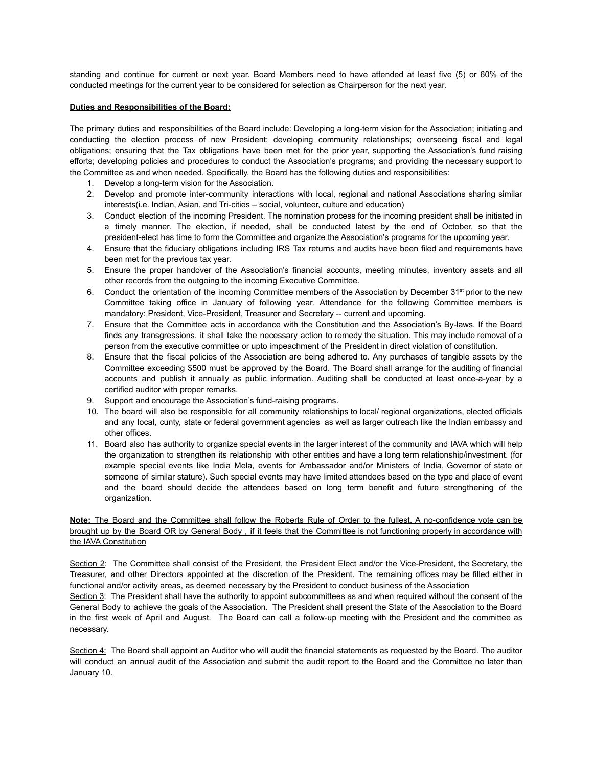standing and continue for current or next year. Board Members need to have attended at least five (5) or 60% of the conducted meetings for the current year to be considered for selection as Chairperson for the next year.

#### **Duties and Responsibilities of the Board:**

The primary duties and responsibilities of the Board include: Developing a long-term vision for the Association; initiating and conducting the election process of new President; developing community relationships; overseeing fiscal and legal obligations; ensuring that the Tax obligations have been met for the prior year, supporting the Association's fund raising efforts; developing policies and procedures to conduct the Association's programs; and providing the necessary support to the Committee as and when needed. Specifically, the Board has the following duties and responsibilities:

- 1. Develop a long-term vision for the Association.
- 2. Develop and promote inter-community interactions with local, regional and national Associations sharing similar interests(i.e. Indian, Asian, and Tri-cities – social, volunteer, culture and education)
- 3. Conduct election of the incoming President. The nomination process for the incoming president shall be initiated in a timely manner. The election, if needed, shall be conducted latest by the end of October, so that the president-elect has time to form the Committee and organize the Association's programs for the upcoming year.
- 4. Ensure that the fiduciary obligations including IRS Tax returns and audits have been filed and requirements have been met for the previous tax year.
- 5. Ensure the proper handover of the Association's financial accounts, meeting minutes, inventory assets and all other records from the outgoing to the incoming Executive Committee.
- 6. Conduct the orientation of the incoming Committee members of the Association by December  $31^{st}$  prior to the new Committee taking office in January of following year. Attendance for the following Committee members is mandatory: President, Vice-President, Treasurer and Secretary -- current and upcoming.
- 7. Ensure that the Committee acts in accordance with the Constitution and the Association's By-laws. If the Board finds any transgressions, it shall take the necessary action to remedy the situation. This may include removal of a person from the executive committee or upto impeachment of the President in direct violation of constitution.
- 8. Ensure that the fiscal policies of the Association are being adhered to. Any purchases of tangible assets by the Committee exceeding \$500 must be approved by the Board. The Board shall arrange for the auditing of financial accounts and publish it annually as public information. Auditing shall be conducted at least once-a-year by a certified auditor with proper remarks.
- 9. Support and encourage the Association's fund-raising programs.
- 10. The board will also be responsible for all community relationships to local/ regional organizations, elected officials and any local, cunty, state or federal government agencies as well as larger outreach like the Indian embassy and other offices.
- 11. Board also has authority to organize special events in the larger interest of the community and IAVA which will help the organization to strengthen its relationship with other entities and have a long term relationship/investment. (for example special events like India Mela, events for Ambassador and/or Ministers of India, Governor of state or someone of similar stature). Such special events may have limited attendees based on the type and place of event and the board should decide the attendees based on long term benefit and future strengthening of the organization.

# **Note:** The Board and the Committee shall follow the Roberts Rule of Order to the fullest. A no-confidence vote can be brought up by the Board OR by General Body , if it feels that the Committee is not functioning properly in accordance with the IAVA Constitution

Section 2: The Committee shall consist of the President, the President Elect and/or the Vice-President, the Secretary, the Treasurer, and other Directors appointed at the discretion of the President. The remaining offices may be filled either in functional and/or activity areas, as deemed necessary by the President to conduct business of the Association

Section 3: The President shall have the authority to appoint subcommittees as and when required without the consent of the General Body to achieve the goals of the Association. The President shall present the State of the Association to the Board in the first week of April and August. The Board can call a follow-up meeting with the President and the committee as necessary.

Section 4: The Board shall appoint an Auditor who will audit the financial statements as requested by the Board. The auditor will conduct an annual audit of the Association and submit the audit report to the Board and the Committee no later than January 10.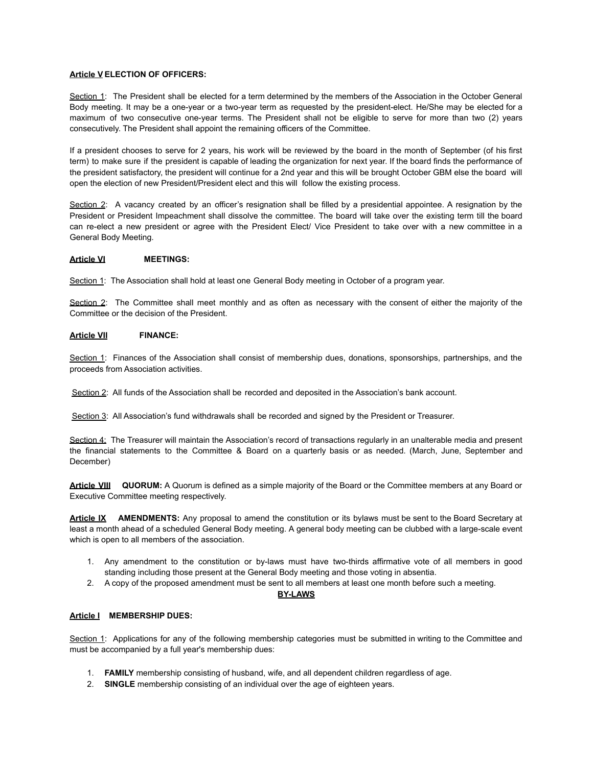#### **Article V ELECTION OF OFFICERS:**

Section 1: The President shall be elected for a term determined by the members of the Association in the October General Body meeting. It may be a one-year or a two-year term as requested by the president-elect. He/She may be elected for a maximum of two consecutive one-year terms. The President shall not be eligible to serve for more than two (2) years consecutively. The President shall appoint the remaining officers of the Committee.

If a president chooses to serve for 2 years, his work will be reviewed by the board in the month of September (of his first term) to make sure if the president is capable of leading the organization for next year. If the board finds the performance of the president satisfactory, the president will continue for a 2nd year and this will be brought October GBM else the board will open the election of new President/President elect and this will follow the existing process.

Section 2: A vacancy created by an officer's resignation shall be filled by a presidential appointee. A resignation by the President or President Impeachment shall dissolve the committee. The board will take over the existing term till the board can re-elect a new president or agree with the President Elect/ Vice President to take over with a new committee in a General Body Meeting.

### **Article VI MEETINGS:**

Section 1: The Association shall hold at least one General Body meeting in October of a program year.

Section 2: The Committee shall meet monthly and as often as necessary with the consent of either the majority of the Committee or the decision of the President.

### **Article VII FINANCE:**

Section 1: Finances of the Association shall consist of membership dues, donations, sponsorships, partnerships, and the proceeds from Association activities.

Section 2: All funds of the Association shall be recorded and deposited in the Association's bank account.

Section 3: All Association's fund withdrawals shall be recorded and signed by the President or Treasurer.

Section 4: The Treasurer will maintain the Association's record of transactions regularly in an unalterable media and present the financial statements to the Committee & Board on a quarterly basis or as needed. (March, June, September and December)

**Article VIII QUORUM:** A Quorum is defined as a simple majority of the Board or the Committee members at any Board or Executive Committee meeting respectively.

**Article IX AMENDMENTS:** Any proposal to amend the constitution or its bylaws must be sent to the Board Secretary at least a month ahead of a scheduled General Body meeting. A general body meeting can be clubbed with a large-scale event which is open to all members of the association.

- 1. Any amendment to the constitution or by-laws must have two-thirds affirmative vote of all members in good standing including those present at the General Body meeting and those voting in absentia.
- 2. A copy of the proposed amendment must be sent to all members at least one month before such a meeting.

### **BY-LAWS**

#### **Article I MEMBERSHIP DUES:**

Section 1: Applications for any of the following membership categories must be submitted in writing to the Committee and must be accompanied by a full year's membership dues:

- 1. **FAMILY** membership consisting of husband, wife, and all dependent children regardless of age.
- 2. **SINGLE** membership consisting of an individual over the age of eighteen years.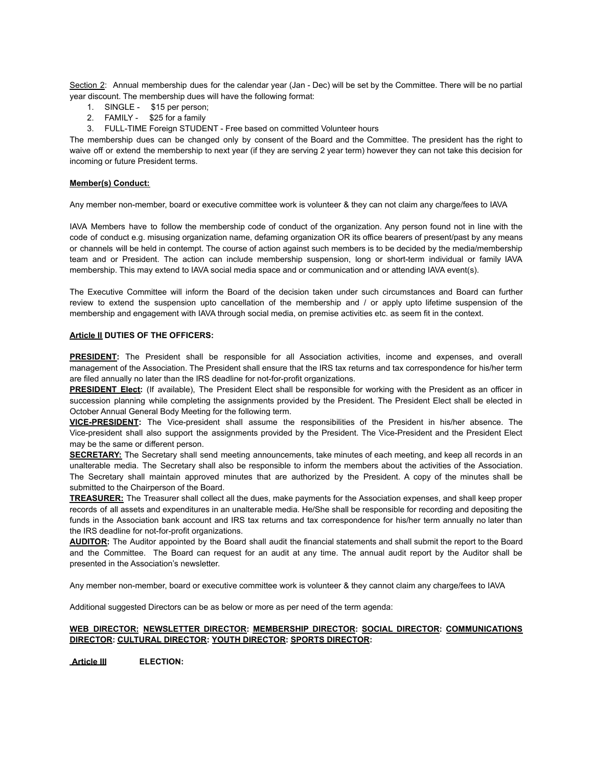Section 2: Annual membership dues for the calendar year (Jan - Dec) will be set by the Committee. There will be no partial year discount. The membership dues will have the following format:

- 1. SINGLE \$15 per person;
- 2. FAMILY \$25 for a family
- 3. FULL-TIME Foreign STUDENT Free based on committed Volunteer hours

The membership dues can be changed only by consent of the Board and the Committee. The president has the right to waive off or extend the membership to next year (if they are serving 2 year term) however they can not take this decision for incoming or future President terms.

### **Member(s) Conduct:**

Any member non-member, board or executive committee work is volunteer & they can not claim any charge/fees to IAVA

IAVA Members have to follow the membership code of conduct of the organization. Any person found not in line with the code of conduct e.g. misusing organization name, defaming organization OR its office bearers of present/past by any means or channels will be held in contempt. The course of action against such members is to be decided by the media/membership team and or President. The action can include membership suspension, long or short-term individual or family IAVA membership. This may extend to IAVA social media space and or communication and or attending IAVA event(s).

The Executive Committee will inform the Board of the decision taken under such circumstances and Board can further review to extend the suspension upto cancellation of the membership and / or apply upto lifetime suspension of the membership and engagement with IAVA through social media, on premise activities etc. as seem fit in the context.

# **Article II DUTIES OF THE OFFICERS:**

**PRESIDENT:** The President shall be responsible for all Association activities, income and expenses, and overall management of the Association. The President shall ensure that the IRS tax returns and tax correspondence for his/her term are filed annually no later than the IRS deadline for not-for-profit organizations.

**PRESIDENT Elect:** (If available), The President Elect shall be responsible for working with the President as an officer in succession planning while completing the assignments provided by the President. The President Elect shall be elected in October Annual General Body Meeting for the following term.

**VICE-PRESIDENT:** The Vice-president shall assume the responsibilities of the President in his/her absence. The Vice-president shall also support the assignments provided by the President. The Vice-President and the President Elect may be the same or different person.

**SECRETARY:** The Secretary shall send meeting announcements, take minutes of each meeting, and keep all records in an unalterable media. The Secretary shall also be responsible to inform the members about the activities of the Association. The Secretary shall maintain approved minutes that are authorized by the President. A copy of the minutes shall be submitted to the Chairperson of the Board.

**TREASURER:** The Treasurer shall collect all the dues, make payments for the Association expenses, and shall keep proper records of all assets and expenditures in an unalterable media. He/She shall be responsible for recording and depositing the funds in the Association bank account and IRS tax returns and tax correspondence for his/her term annually no later than the IRS deadline for not-for-profit organizations.

**AUDITOR:** The Auditor appointed by the Board shall audit the financial statements and shall submit the report to the Board and the Committee. The Board can request for an audit at any time. The annual audit report by the Auditor shall be presented in the Association's newsletter.

Any member non-member, board or executive committee work is volunteer & they cannot claim any charge/fees to IAVA

Additional suggested Directors can be as below or more as per need of the term agenda:

### **WEB DIRECTOR: NEWSLETTER DIRECTOR: MEMBERSHIP DIRECTOR: SOCIAL DIRECTOR: COMMUNICATIONS DIRECTOR: CULTURAL DIRECTOR: YOUTH DIRECTOR: SPORTS DIRECTOR:**

**Article III ELECTION:**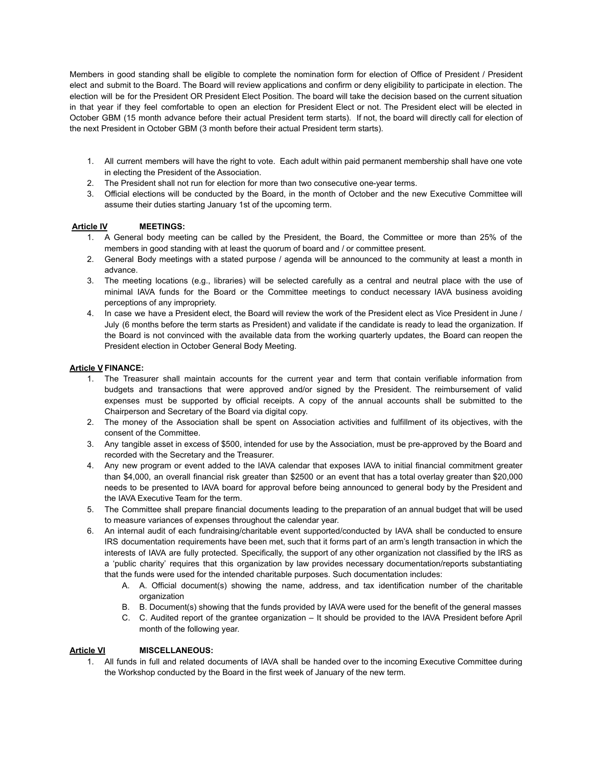Members in good standing shall be eligible to complete the nomination form for election of Office of President / President elect and submit to the Board. The Board will review applications and confirm or deny eligibility to participate in election. The election will be for the President OR President Elect Position. The board will take the decision based on the current situation in that year if they feel comfortable to open an election for President Elect or not. The President elect will be elected in October GBM (15 month advance before their actual President term starts). If not, the board will directly call for election of the next President in October GBM (3 month before their actual President term starts).

- 1. All current members will have the right to vote. Each adult within paid permanent membership shall have one vote in electing the President of the Association.
- 2. The President shall not run for election for more than two consecutive one-year terms.
- 3. Official elections will be conducted by the Board, in the month of October and the new Executive Committee will assume their duties starting January 1st of the upcoming term.

# **Article IV MEETINGS:**

- 1. A General body meeting can be called by the President, the Board, the Committee or more than 25% of the members in good standing with at least the quorum of board and / or committee present.
- 2. General Body meetings with a stated purpose / agenda will be announced to the community at least a month in advance.
- 3. The meeting locations (e.g., libraries) will be selected carefully as a central and neutral place with the use of minimal IAVA funds for the Board or the Committee meetings to conduct necessary IAVA business avoiding perceptions of any impropriety.
- 4. In case we have a President elect, the Board will review the work of the President elect as Vice President in June / July (6 months before the term starts as President) and validate if the candidate is ready to lead the organization. If the Board is not convinced with the available data from the working quarterly updates, the Board can reopen the President election in October General Body Meeting.

### **Article V FINANCE:**

- 1. The Treasurer shall maintain accounts for the current year and term that contain verifiable information from budgets and transactions that were approved and/or signed by the President. The reimbursement of valid expenses must be supported by official receipts. A copy of the annual accounts shall be submitted to the Chairperson and Secretary of the Board via digital copy.
- 2. The money of the Association shall be spent on Association activities and fulfillment of its objectives, with the consent of the Committee.
- 3. Any tangible asset in excess of \$500, intended for use by the Association, must be pre-approved by the Board and recorded with the Secretary and the Treasurer.
- 4. Any new program or event added to the IAVA calendar that exposes IAVA to initial financial commitment greater than \$4,000, an overall financial risk greater than \$2500 or an event that has a total overlay greater than \$20,000 needs to be presented to IAVA board for approval before being announced to general body by the President and the IAVA Executive Team for the term.
- 5. The Committee shall prepare financial documents leading to the preparation of an annual budget that will be used to measure variances of expenses throughout the calendar year.
- 6. An internal audit of each fundraising/charitable event supported/conducted by IAVA shall be conducted to ensure IRS documentation requirements have been met, such that it forms part of an arm's length transaction in which the interests of IAVA are fully protected. Specifically, the support of any other organization not classified by the IRS as a 'public charity' requires that this organization by law provides necessary documentation/reports substantiating that the funds were used for the intended charitable purposes. Such documentation includes:
	- A. A. Official document(s) showing the name, address, and tax identification number of the charitable organization
	- B. B. Document(s) showing that the funds provided by IAVA were used for the benefit of the general masses
	- C. C. Audited report of the grantee organization It should be provided to the IAVA President before April month of the following year.

### **Article VI MISCELLANEOUS:**

1. All funds in full and related documents of IAVA shall be handed over to the incoming Executive Committee during the Workshop conducted by the Board in the first week of January of the new term.